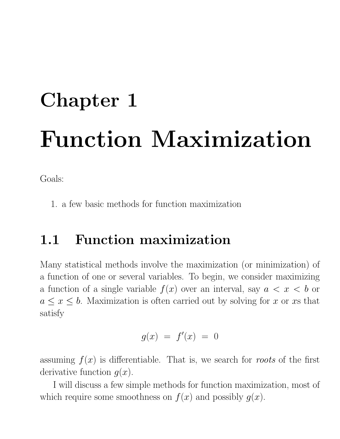# Chapter 1 Function Maximization

Goals:

1. a few basic methods for function maximization

# 1.1 Function maximization

Many statistical methods involve the maximization (or minimization) of a function of one or several variables. To begin, we consider maximizing a function of a single variable  $f(x)$  over an interval, say  $a < x < b$  or  $a \leq x \leq b$ . Maximization is often carried out by solving for x or xs that satisfy

$$
g(x) \ = \ f'(x) \ = \ 0
$$

assuming  $f(x)$  is differentiable. That is, we search for roots of the first derivative function  $g(x)$ .

I will discuss a few simple methods for function maximization, most of which require some smoothness on  $f(x)$  and possibly  $g(x)$ .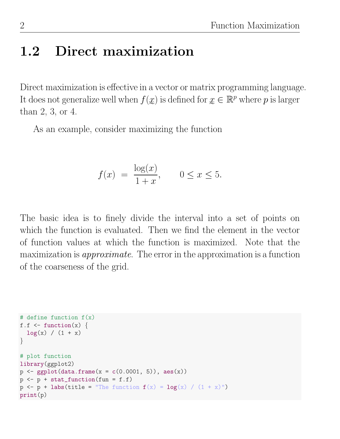# 1.2 Direct maximization

Direct maximization is effective in a vector or matrix programming language. It does not generalize well when  $f(x)$  is defined for  $x \in \mathbb{R}^p$  where p is larger than 2, 3, or 4.

As an example, consider maximizing the function

$$
f(x) = \frac{\log(x)}{1+x}
$$
,  $0 \le x \le 5$ .

The basic idea is to finely divide the interval into a set of points on which the function is evaluated. Then we find the element in the vector of function values at which the function is maximized. Note that the maximization is approximate. The error in the approximation is a function of the coarseness of the grid.

```
# define function f(x)
f.f \leftarrow function(x) {
  log(x) / (1 + x)}
# plot function
library(ggplot2)
p \leftarrow \text{gplot}(data-frame(x = c(0.0001, 5)), aes(x))p \leftarrow p + \text{stat_function}(fun = f.f)p \leftarrow p + \text{ labs}(\text{title} = \text{``The function } f(x) = \log(x) / (1 + x) \text{''})print(p)
```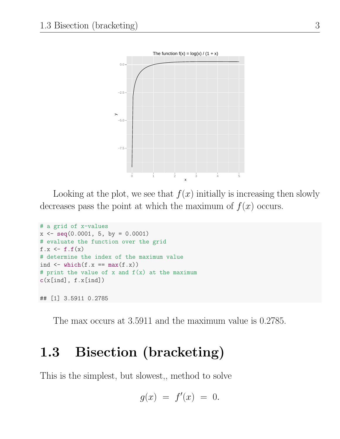

Looking at the plot, we see that  $f(x)$  initially is increasing then slowly decreases pass the point at which the maximum of  $f(x)$  occurs.

```
# a grid of x-values
x \leftarrow \text{seq}(0.0001, 5, \text{ by } = 0.0001)# evaluate the function over the grid
f.x \leftarrow f.f(x)# determine the index of the maximum value
ind \le which(f.x == max(f.x))
# print the value of x and f(x) at the maximum
c(x[ind], f.x[ind])## [1] 3.5911 0.2785
```
The max occurs at 3.5911 and the maximum value is 0.2785.

# 1.3 Bisection (bracketing)

This is the simplest, but slowest,, method to solve

$$
g(x) \ = \ f'(x) \ = \ 0.
$$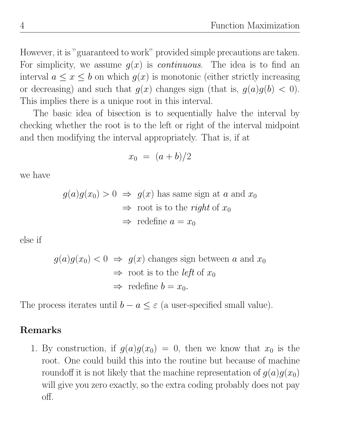However, it is "guaranteed to work" provided simple precautions are taken. For simplicity, we assume  $g(x)$  is *continuous*. The idea is to find an interval  $a \leq x \leq b$  on which  $g(x)$  is monotonic (either strictly increasing or decreasing) and such that  $g(x)$  changes sign (that is,  $g(a)g(b) < 0$ ). This implies there is a unique root in this interval.

The basic idea of bisection is to sequentially halve the interval by checking whether the root is to the left or right of the interval midpoint and then modifying the interval appropriately. That is, if at

$$
x_0 = (a+b)/2
$$

we have

$$
g(a)g(x_0) > 0 \Rightarrow g(x)
$$
 has same sign at a and  $x_0$   
 $\Rightarrow$  root is to the *right* of  $x_0$   
 $\Rightarrow$  redefine  $a = x_0$ 

else if

$$
g(a)g(x_0) < 0 \Rightarrow g(x)
$$
 changes sign between a and  $x_0$   
 $\Rightarrow$  root is to the *left* of  $x_0$   
 $\Rightarrow$  redefine  $b = x_0$ .

The process iterates until  $b - a \leq \varepsilon$  (a user-specified small value).

#### Remarks

1. By construction, if  $g(a)g(x_0) = 0$ , then we know that  $x_0$  is the root. One could build this into the routine but because of machine roundoff it is not likely that the machine representation of  $g(a)g(x_0)$ will give you zero exactly, so the extra coding probably does not pay off.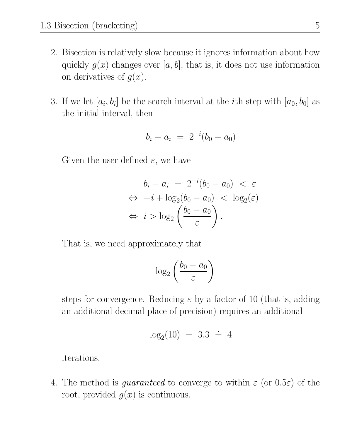- 2. Bisection is relatively slow because it ignores information about how quickly  $g(x)$  changes over [a, b], that is, it does not use information on derivatives of  $g(x)$ .
- 3. If we let  $[a_i, b_i]$  be the search interval at the *i*th step with  $[a_0, b_0]$  as the initial interval, then

$$
b_i - a_i = 2^{-i}(b_0 - a_0)
$$

Given the user defined  $\varepsilon$ , we have

$$
b_i - a_i = 2^{-i}(b_0 - a_0) < \varepsilon
$$
\n
$$
\Leftrightarrow -i + \log_2(b_0 - a_0) < \log_2(\varepsilon)
$$
\n
$$
\Leftrightarrow i > \log_2\left(\frac{b_0 - a_0}{\varepsilon}\right).
$$

That is, we need approximately that

$$
\log_2\left(\frac{b_0-a_0}{\varepsilon}\right)
$$

steps for convergence. Reducing  $\varepsilon$  by a factor of 10 (that is, adding an additional decimal place of precision) requires an additional

$$
log_2(10) = 3.3 \div 4
$$

iterations.

4. The method is *guaranteed* to converge to within  $\varepsilon$  (or  $0.5\varepsilon$ ) of the root, provided  $g(x)$  is continuous.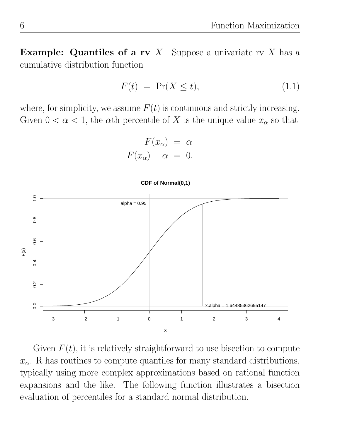**Example:** Quantiles of a rv X Suppose a univariate rv X has a cumulative distribution function

$$
F(t) = \Pr(X \le t), \tag{1.1}
$$

where, for simplicity, we assume  $F(t)$  is continuous and strictly increasing. Given  $0 < \alpha < 1$ , the  $\alpha$ th percentile of X is the unique value  $x_{\alpha}$  so that

$$
F(x_{\alpha}) = \alpha
$$

$$
F(x_{\alpha}) - \alpha = 0.
$$



Given  $F(t)$ , it is relatively straightforward to use bisection to compute  $x_{\alpha}$ . R has routines to compute quantiles for many standard distributions, typically using more complex approximations based on rational function expansions and the like. The following function illustrates a bisection evaluation of percentiles for a standard normal distribution.

#### **CDF of Normal(0,1)**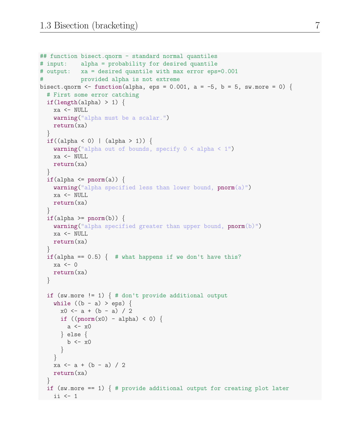```
## function bisect.qnorm - standard normal quantiles
# input: alpha = probability for desired quantile
# output: xa = desired quantile with max error eps=0.001
# provided alpha is not extreme
bisect.qnorm \leq function(alpha, eps = 0.001, a = -5, b = 5, sw.more = 0) {
 # First some error catching
 if(length(alpha) > 1) {
   xa <- NULL
   warning("alpha must be a scalar.")
   return(xa)
  }
  if((alpha < 0) | (alpha > 1)) {
    warning("alpha out of bounds, specify 0 < alpha < 1")
   xa <- NULL
   return(xa)
  }
  if(alpha \leq pnorm(a)) {
    warning("alpha specified less than lower bound, pnorm(a)")
   xa <- NULL
   return(xa)
  }
  if(alpha >= \text{pnorm}(b)) {
    warning("alpha specified greater than upper bound, pnorm(b)")
   xa <- NULL
   return(xa)
  }
  if(alpha == 0.5) { # what happens if we don't have this?
   xa \leftarrow 0return(xa)
  }
  if (sw.more != 1) \{ # don't provide additional outputwhile ((b - a) > eps) {
      x0 \leftarrow a + (b - a) / 2if ((\text{pnorm}(x0) - \text{alpha}) < 0)a \leftarrow x0} else {
        b \leftarrow x0}
    }
    xa \leftarrow a + (b - a) / 2return(xa)
  }
  if (sw.more == 1) { # provide additional output for creating plot later
 ii <- 1
```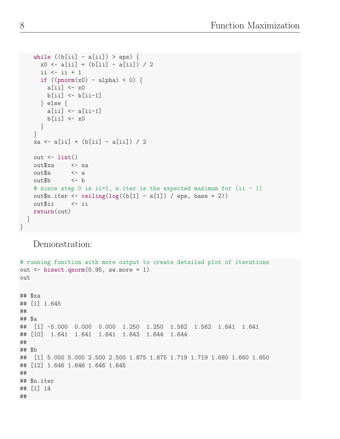```
while ((b[i] - a[i]) > eps) {
      x0 \leftarrow a[i] + (b[i] - a[i]) / 2ii \leftarrow ii +1if ((\text{pnorm}(x0) - \text{alpha}) \leq 0)a[i] <- x0b[i] <- b[i-1]} else {
        a[ii] <- a[ii-1]
        b[i] <- x0}
    }
    xa <- a[ii] + (b[ii] - a[ii]) / 2
    out \leftarrow list()
    out$xa <- xa
    out$a <- a
   out$b <- b
    # since step 0 is ii=1, n.iter is the expected maximum for (ii - 1)
    out$n.iter <- ceiling(log((b[1] - a[1]) / eps, base = 2))
    out$ii <- ii
    return(out)
  }
}
```
Demonstration:

```
# running function with more output to create detailed plot of iterations
out \leq bisect.qnorm(0.95, \text{sw.more} = 1)out
## $xa
## [1] 1.645
##
## $a
## [1] -5.000 0.000 0.000 1.250 1.250 1.562 1.562 1.641 1.641
## [10] 1.641 1.641 1.641 1.643 1.644 1.644
##
## $b
## [1] 5.000 5.000 2.500 2.500 1.875 1.875 1.719 1.719 1.680 1.660 1.650
## [12] 1.646 1.646 1.646 1.645
##
## $n.iter
## [1] 14
##
```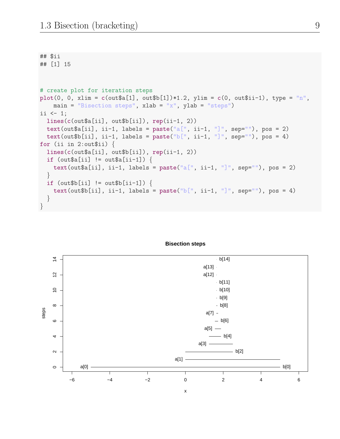```
## $ii
## [1] 15
# create plot for iteration steps
plot(0, 0, xlim = c(out$a[1], out$b[1])*1.2, ylim = c(0, out$ii-1), type = "n",
    main = "Bisection steps", xlab = "x", ylab = "steps")
i \leq -1;
  lines(c(out$a[ii], out$b[ii]), rep(ii-1, 2))
  text(out$a[ii], ii-1, labels = paste("a[", ii-1, "]", sep=""), pos = 2)
  text(out$b[ii], ii-1, labels = paste("b[", ii-1, "]", sep=""), pos = 4)
for (ii in 2:out$ii) \{lines(c(out$a[ii], out$b[ii]), rep(ii-1, 2))
  if (out\if \{out\a[i] != out\a[ii-1]) {
    text(out$a[ii], ii-1, labels = paste("a[", ii-1, "]", sep=""), pos = 2)
  }
  if (out\ii] != out $b[ii-1]) {
   text(out$b[ii], ii-1, labels = paste("b[", ii-1, "]", sep=""), pos = 4)
  }
}
```
#### **Bisection steps**

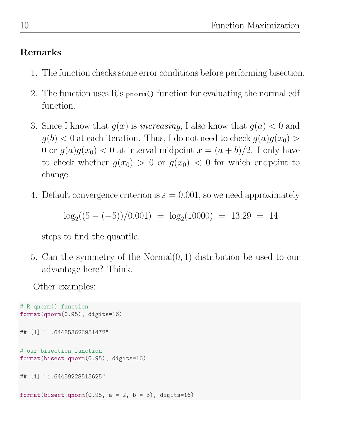## Remarks

- 1. The function checks some error conditions before performing bisection.
- 2. The function uses R's pnorm() function for evaluating the normal cdf function.
- 3. Since I know that  $g(x)$  is *increasing*, I also know that  $g(a) < 0$  and  $g(b) < 0$  at each iteration. Thus, I do not need to check  $g(a)g(x_0)$ 0 or  $g(a)g(x_0)$  < 0 at interval midpoint  $x = (a + b)/2$ . I only have to check whether  $g(x_0) > 0$  or  $g(x_0) < 0$  for which endpoint to change.
- 4. Default convergence criterion is  $\varepsilon = 0.001$ , so we need approximately

 $\log_2((5-(-5))/0.001) = \log_2(10000) = 13.29 \approx 14$ 

steps to find the quantile.

5. Can the symmetry of the Normal(0, 1) distribution be used to our advantage here? Think.

Other examples:

```
# R qnorm() function
format(qnorm(0.95), digits=16)
## [1] "1.644853626951472"
# our bisection function
format(bisect.qnorm(0.95), digits=16)
## [1] "1.64459228515625"
format(bisect.qnorm(0.95, a = 2, b = 3), digits=16)
```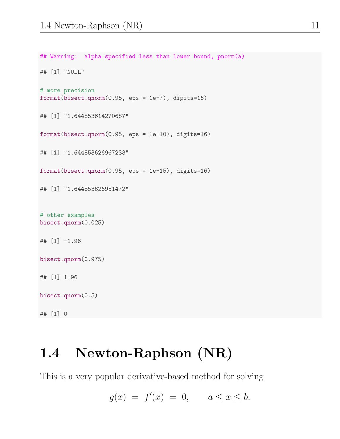```
## Warning: alpha specified less than lower bound, pnorm(a)
## [1] "NULL"
# more precision
format(bisect.qnorm(0.95, eps = 1e-7), digits=16)
## [1] "1.644853614270687"
format(bisect.qnorm(0.95, eps = 1e-10), digits=16)
## [1] "1.644853626967233"
format(bisect.qnorm(0.95, eps = 1e-15), digits=16)
## [1] "1.644853626951472"
# other examples
bisect.qnorm(0.025)
## [1] -1.96
bisect.qnorm(0.975)
## [1] 1.96
bisect.qnorm(0.5)
```
# 1.4 Newton-Raphson (NR)

## [1] 0

This is a very popular derivative-based method for solving

$$
g(x) ~=~ f'(x) ~=~ 0,\qquad a\leq x\leq b.
$$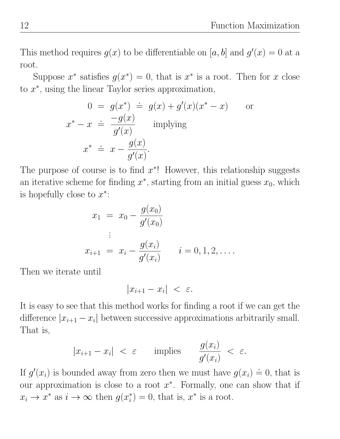This method requires  $g(x)$  to be differentiable on [a, b] and  $g'(x) = 0$  at a root.

Suppose  $x^*$  satisfies  $g(x^*) = 0$ , that is  $x^*$  is a root. Then for x close to  $x^*$ , using the linear Taylor series approximation,

$$
0 = g(x^*) \doteq g(x) + g'(x)(x^* - x)
$$
 or  

$$
x^* - x \doteq \frac{-g(x)}{g'(x)}
$$
 implying  

$$
x^* \doteq x - \frac{g(x)}{g'(x)}.
$$

The purpose of course is to find  $x^*$ ! However, this relationship suggests an iterative scheme for finding  $x^*$ , starting from an initial guess  $x_0$ , which is hopefully close to  $x^*$ :

$$
x_1 = x_0 - \frac{g(x_0)}{g'(x_0)}
$$
  
 
$$
\vdots
$$
  
\n
$$
x_{i+1} = x_i - \frac{g(x_i)}{g'(x_i)} \qquad i = 0, 1, 2, ....
$$

Then we iterate until

$$
|x_{i+1} - x_i| < \varepsilon.
$$

It is easy to see that this method works for finding a root if we can get the difference  $|x_{i+1} - x_i|$  between successive approximations arbitrarily small. That is,

$$
|x_{i+1} - x_i| < \varepsilon \qquad \text{implies} \qquad \frac{g(x_i)}{g'(x_i)} < \varepsilon.
$$

If  $g'(x_i)$  is bounded away from zero then we must have  $g(x_i)$ .  $\dot{=}$  0, that is our approximation is close to a root  $x^*$ . Formally, one can show that if  $x_i \to x^*$  as  $i \to \infty$  then  $g(x_i^*)$  $i^*$  = 0, that is,  $x^*$  is a root.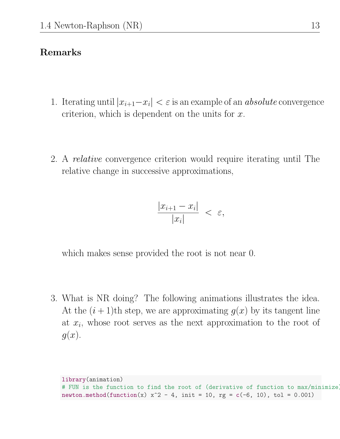#### Remarks

- 1. Iterating until  $|x_{i+1}-x_i| < \varepsilon$  is an example of an *absolute* convergence criterion, which is dependent on the units for  $x$ .
- 2. A relative convergence criterion would require iterating until The relative change in successive approximations,

$$
\frac{|x_{i+1} - x_i|}{|x_i|} < \varepsilon,
$$

which makes sense provided the root is not near 0.

3. What is NR doing? The following animations illustrates the idea. At the  $(i + 1)$ th step, we are approximating  $g(x)$  by its tangent line at  $x_i$ , whose root serves as the next approximation to the root of  $g(x)$ .

```
library(animation)
# FUN is the function to find the root of (derivative of function to max/minimize)
newton.method(function(x) x^2 - 4, init = 10, rg = c(-6, 10), tol = 0.001)
```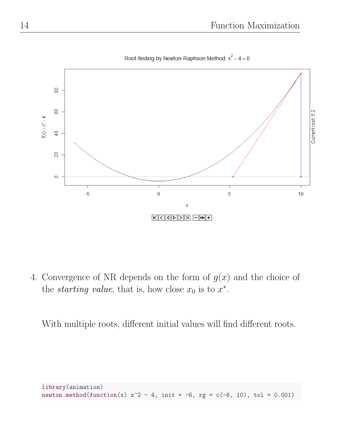

Root-finding by Newton-Raphson Method:  $x^2 - 4 = 0$ 

4. Convergence of NR depends on the form of  $g(x)$  and the choice of the *starting value*, that is, how close  $x_0$  is to  $x^*$ .

With multiple roots, different initial values will find different roots.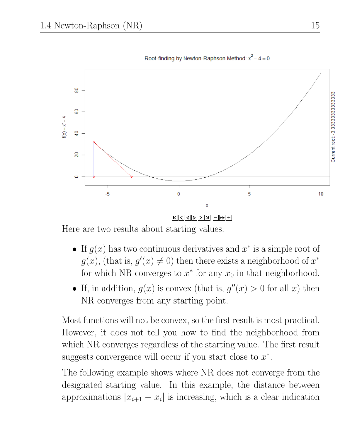

Root-finding by Newton-Raphson Method:  $x^2 - 4 = 0$ 

Here are two results about starting values:

- If  $g(x)$  has two continuous derivatives and  $x^*$  is a simple root of  $g(x)$ , (that is,  $g'(x) \neq 0$ ) then there exists a neighborhood of  $x^*$ for which NR converges to  $x^*$  for any  $x_0$  in that neighborhood.
- If, in addition,  $g(x)$  is convex (that is,  $g''(x) > 0$  for all x) then NR converges from any starting point.

Most functions will not be convex, so the first result is most practical. However, it does not tell you how to find the neighborhood from which NR converges regardless of the starting value. The first result suggests convergence will occur if you start close to  $x^*$ .

The following example shows where NR does not converge from the designated starting value. In this example, the distance between approximations  $|x_{i+1} - x_i|$  is increasing, which is a clear indication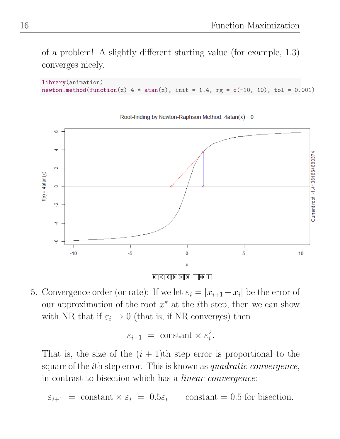of a problem! A slightly different starting value (for example, 1.3) converges nicely.

```
library(animation)
newton.method(function(x) 4 * \text{atan}(x), init = 1.4, rg = c(-10, 10), tol = 0.001)
```


Root-finding by Newton-Raphson Method:  $4atan(x) = 0$ 

 $\boxed{\left| K \right|\left| <\left| \Phi \right|\left| >\left| \Sigma \right|\right| = \left| \frac{1}{2} \left| \Phi \right|\left| +\right| \right| }$ 

5. Convergence order (or rate): If we let  $\varepsilon_i = |x_{i+1} - x_i|$  be the error of our approximation of the root  $x^*$  at the *i*<sup>th</sup> step, then we can show with NR that if  $\varepsilon_i \to 0$  (that is, if NR converges) then

$$
\varepsilon_{i+1} = \text{constant} \times \varepsilon_i^2.
$$

That is, the size of the  $(i + 1)$ th step error is proportional to the square of the *i*th step error. This is known as *quadratic convergence*, in contrast to bisection which has a linear convergence:

$$
\varepsilon_{i+1} = \text{constant} \times \varepsilon_i = 0.5\varepsilon_i \quad \text{constant} = 0.5 \text{ for bisection.}
$$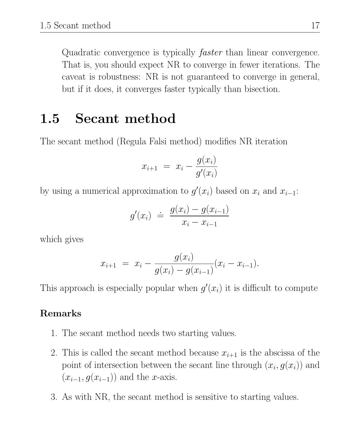Quadratic convergence is typically faster than linear convergence. That is, you should expect NR to converge in fewer iterations. The caveat is robustness: NR is not guaranteed to converge in general, but if it does, it converges faster typically than bisection.

# 1.5 Secant method

The secant method (Regula Falsi method) modifies NR iteration

$$
x_{i+1} = x_i - \frac{g(x_i)}{g'(x_i)}
$$

by using a numerical approximation to  $g'(x_i)$  based on  $x_i$  and  $x_{i-1}$ :

$$
g'(x_i) \doteq \frac{g(x_i) - g(x_{i-1})}{x_i - x_{i-1}}
$$

which gives

$$
x_{i+1} = x_i - \frac{g(x_i)}{g(x_i) - g(x_{i-1})}(x_i - x_{i-1}).
$$

This approach is especially popular when  $g'(x_i)$  it is difficult to compute

#### Remarks

- 1. The secant method needs two starting values.
- 2. This is called the secant method because  $x_{i+1}$  is the abscissa of the point of intersection between the secant line through  $(x_i, g(x_i))$  and  $(x_{i-1}, g(x_{i-1}))$  and the x-axis.
- 3. As with NR, the secant method is sensitive to starting values.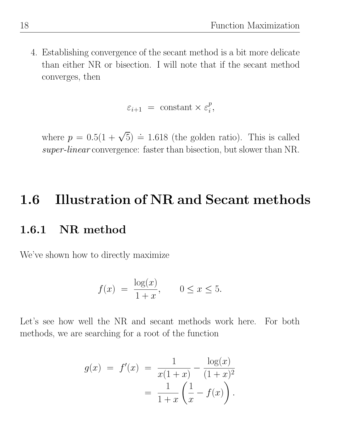4. Establishing convergence of the secant method is a bit more delicate than either NR or bisection. I will note that if the secant method converges, then

$$
\varepsilon_{i+1} = \text{constant} \times \varepsilon_i^p,
$$

where  $p = 0.5(1 + \sqrt{5}) \doteq 1.618$  (the golden ratio). This is called super-linear convergence: faster than bisection, but slower than NR.

# 1.6 Illustration of NR and Secant methods

### 1.6.1 NR method

We've shown how to directly maximize

$$
f(x) = \frac{\log(x)}{1+x}, \qquad 0 \le x \le 5.
$$

Let's see how well the NR and secant methods work here. For both methods, we are searching for a root of the function

$$
g(x) = f'(x) = \frac{1}{x(1+x)} - \frac{\log(x)}{(1+x)^2}
$$

$$
= \frac{1}{1+x} \left(\frac{1}{x} - f(x)\right).
$$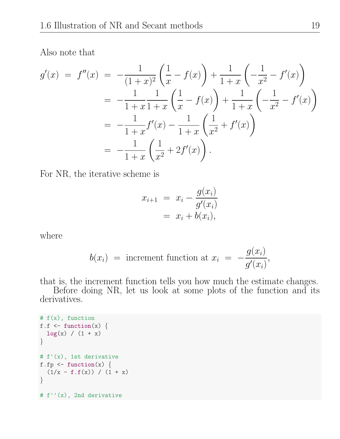Also note that

$$
g'(x) = f''(x) = -\frac{1}{(1+x)^2} \left( \frac{1}{x} - f(x) \right) + \frac{1}{1+x} \left( -\frac{1}{x^2} - f'(x) \right)
$$
  
= 
$$
-\frac{1}{1+x} \frac{1}{1+x} \left( \frac{1}{x} - f(x) \right) + \frac{1}{1+x} \left( -\frac{1}{x^2} - f'(x) \right)
$$
  
= 
$$
-\frac{1}{1+x} f'(x) - \frac{1}{1+x} \left( \frac{1}{x^2} + f'(x) \right)
$$
  
= 
$$
-\frac{1}{1+x} \left( \frac{1}{x^2} + 2f'(x) \right).
$$

For NR, the iterative scheme is

$$
x_{i+1} = x_i - \frac{g(x_i)}{g'(x_i)} = x_i + b(x_i),
$$

where

$$
b(x_i) = \text{increment function at } x_i = -\frac{g(x_i)}{g'(x_i)},
$$

that is, the increment function tells you how much the estimate changes.

Before doing NR, let us look at some plots of the function and its derivatives.

```
# f(x), function
f.f \leftarrow function(x) {
  log(x) / (1 + x)}
# f'(x), 1st derivative
f.fp \leftarrow function(x) {
  (1/x - f.f(x)) / (1 + x)}
# f''(x), 2nd derivative
```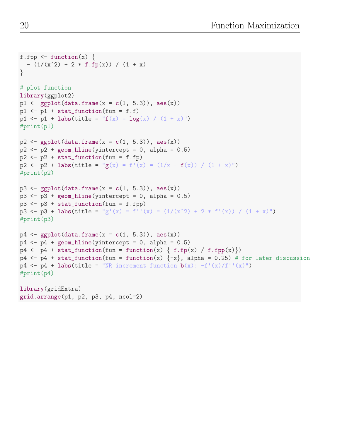```
f.fpp \le function(x) {
  - (1/(x^2) + 2 * f.fp(x)) / (1 + x)}
# plot function
library(ggplot2)
p1 \leftarrow ggplot(data.frame(x = c(1, 5.3)), aes(x))
p1 \leftarrow p1 + stat_function(fun = f.f)p1 <- p1 + labs(title = "f(x) = log(x) / (1 + x)")
#print(p1)
p2 \leq - ggplot(data.frame(x = c(1, 5.3)), aes(x))
p2 \leq -p2 + \text{geom\_hline}(yintercept = 0, \text{alpha} = 0.5)p2 \leftarrow p2 + stat_function(fun = f.fp)p2 <- p2 + labs(title = "g(x) = f'(x) = (1/x - f(x)) / (1 + x)")
#print(p2)
p3 \leftarrow \text{gplot}(data-frame(x = c(1, 5.3)), aes(x))p3 \leq -p3 + \text{geom} hline(yintercept = 0, alpha = 0.5)
p3 \leq p3 + stat_function(fun = f.fpp)p3 <- p3 + labs(title = "g'(x) = f''(x) = (1/(x^2) + 2 * f'(x)) / (1 + x)")
#print(p3)
p4 \leftarrow \text{gpplot}(data-frame(x = c(1, 5.3)), aes(x))p4 \leq p4 + \text{geom\_hline}(yintercept = 0, \text{alpha} = 0.5)p4 \leftarrow p4 + stat_function(fun = function(x) \{-f.fp(x) / f.fpp(x)\})p4 \leq p4 + \text{stat_function}(\text{fun} = \text{function}(x) \{-x\}, \text{alpha} = 0.25) \# \text{for later discussion}p4 \leftarrow p4 + \text{labels}(\text{title} = \text{''NR} increment function b(x) : -f'(x)/f''(x)")
#print(p4)
library(gridExtra)
grid.arrange(p1, p2, p3, p4, ncol=2)
```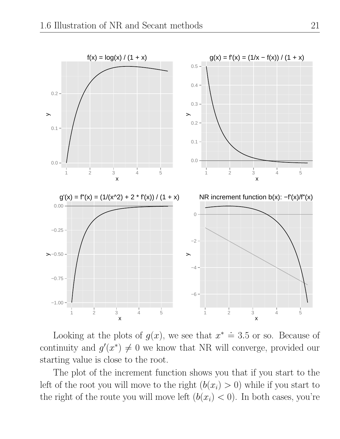

Looking at the plots of  $g(x)$ , we see that  $x^* \doteq$  $\dot{=}$  3.5 or so. Because of continuity and  $g'(x^*) \neq 0$  we know that NR will converge, provided our starting value is close to the root.

The plot of the increment function shows you that if you start to the left of the root you will move to the right  $(b(x_i) > 0)$  while if you start to the right of the route you will move left  $(b(x_i) < 0)$ . In both cases, you're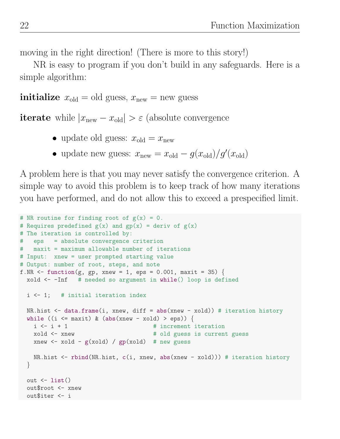moving in the right direction! (There is more to this story!)

NR is easy to program if you don't build in any safeguards. Here is a simple algorithm:

**initialize**  $x_{old} = old$  guess,  $x_{new} = new$  guess

**iterate** while  $|x_{\text{new}} - x_{\text{old}}| > \varepsilon$  (absolute convergence

- update old guess:  $x_{old} = x_{new}$
- update new guess:  $x_{\text{new}} = x_{\text{old}} g(x_{\text{old}})/g'(x_{\text{old}})$

A problem here is that you may never satisfy the convergence criterion. A simple way to avoid this problem is to keep track of how many iterations you have performed, and do not allow this to exceed a prespecified limit.

```
# NR routine for finding root of g(x) = 0.
# Requires predefined g(x) and gp(x) = deriv of g(x)# The iteration is controlled by:
# eps = absolute convergence criterion
# maxit = maximum allowable number of iterations
# Input: xnew = user prompted starting value
# Output: number of root, steps, and note
f.NR \le function(g, gp, xnew = 1, eps = 0.001, maxit = 35) {
 xold \leftarrow -Inf # needed so argument in while() loop is defined
 i \leftarrow 1; # initial iteration index
 NR.hist \leq data.frame(i, xnew, diff = abs(xnew - xold)) # iteration history
 while ((i \leq maxit) \& (abs(xnew - xold) > eps))i \leq i + 1 # increment iteration
   xold <- xnew \qquad # old guess is current guess
   xnew \le xold - g(xold) / gp(xold) # new guess
   NR.hist <- rbind(NR.hist, c(i, xnew, abs(xnew - xold))) # iteration history
  }
  out \leftarrow list()
  out$root <- xnew
  out$iter <- i
```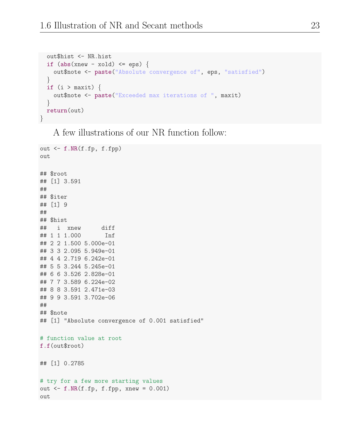```
out$hist <- NR.hist
  if (abs(xnew - xold) \leq eps) {
    out$note <- paste("Absolute convergence of", eps, "satisfied")
  }
  if (i > maxit) {
    out$note <- paste("Exceeded max iterations of ", maxit)
  }
  return(out)
}
```
A few illustrations of our NR function follow:

```
out <- f.NR(f.fp, f.fpp)
out
## $root
## [1] 3.591
##
## $iter
## [1] 9
##
## $hist
## i xnew diff
## 1 1 1.000 Inf
## 2 2 1.500 5.000e-01
## 3 3 2.095 5.949e-01
## 4 4 2.719 6.242e-01
## 5 5 3.244 5.245e-01
## 6 6 3.526 2.828e-01
## 7 7 3.589 6.224e-02
## 8 8 3.591 2.471e-03
## 9 9 3.591 3.702e-06
##
## $note
## [1] "Absolute convergence of 0.001 satisfied"
# function value at root
f.f(out$root)
## [1] 0.2785
# try for a few more starting values
out \leq f.NR(f.fp, f.fpp, xnew = 0.001)out
```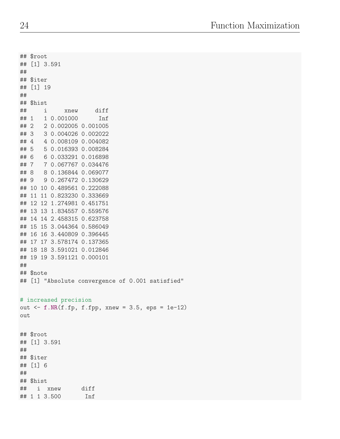## \$root ## [1] 3.591 ## ## \$iter ## [1] 19 ## ## \$hist ## i xnew diff ## 1 1 0.001000 Inf ## 2 2 0.002005 0.001005 ## 3 3 0.004026 0.002022 ## 4 4 0.008109 0.004082 ## 5 5 0.016393 0.008284 ## 6 6 0.033291 0.016898 ## 7 7 0.067767 0.034476 ## 8 8 0.136844 0.069077 ## 9 9 0.267472 0.130629 ## 10 10 0.489561 0.222088 ## 11 11 0.823230 0.333669 ## 12 12 1.274981 0.451751 ## 13 13 1.834557 0.559576 ## 14 14 2.458315 0.623758 ## 15 15 3.044364 0.586049 ## 16 16 3.440809 0.396445 ## 17 17 3.578174 0.137365 ## 18 18 3.591021 0.012846 ## 19 19 3.591121 0.000101 ## ## \$note ## [1] "Absolute convergence of 0.001 satisfied" # increased precision out  $\leq$  f.NR(f.fp, f.fpp, xnew = 3.5, eps = 1e-12) out ## \$root ## [1] 3.591 ## ## \$iter ## [1] 6 ## ## \$hist ## i xnew diff ## 1 1 3.500 Inf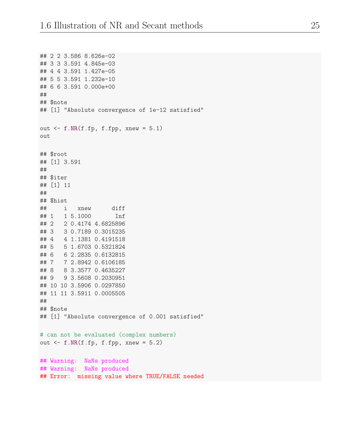```
## 2 2 3.586 8.626e-02
## 3 3 3.591 4.845e-03
## 4 4 3.591 1.427e-05
## 5 5 3.591 1.232e-10
## 6 6 3.591 0.000e+00
##
## $note
## [1] "Absolute convergence of 1e-12 satisfied"
out \leq f.NR(f.fp, f.fpp, xnew = 5.1)
out
## $root
## [1] 3.591
##
## $iter
## [1] 11
##
## $hist
## i xnew diff
## 1 1 5.1000 Inf
## 2 2 0.4174 4.6825896
## 3 3 0.7189 0.3015235
## 4 4 1.1381 0.4191518
## 5 5 1.6703 0.5321824
## 6 6 2.2835 0.6132815
## 7 7 2.8942 0.6106185
## 8 8 3.3577 0.4635227
## 9 9 3.5608 0.2030951
## 10 10 3.5906 0.0297850
## 11 11 3.5911 0.0005505
##
## $note
## [1] "Absolute convergence of 0.001 satisfied"
# can not be evaluated (complex numbers)
out \leq f.NR(f.fp, f.fpp, xnew = 5.2)
## Warning: NaNs produced
## Warning: NaNs produced
## Error: missing value where TRUE/FALSE needed
```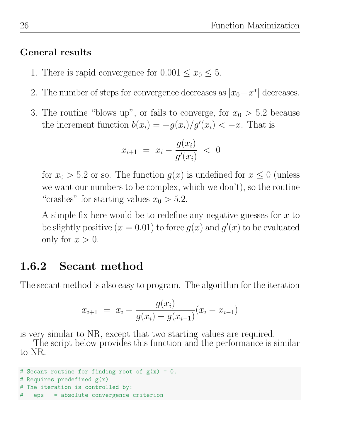#### General results

- 1. There is rapid convergence for  $0.001 \le x_0 \le 5$ .
- 2. The number of steps for convergence decreases as  $|x_0 x^*|$  decreases.
- 3. The routine "blows up", or fails to converge, for  $x_0 > 5.2$  because the increment function  $b(x_i) = -g(x_i)/g'(x_i) < -x$ . That is

$$
x_{i+1} = x_i - \frac{g(x_i)}{g'(x_i)} < 0
$$

for  $x_0 > 5.2$  or so. The function  $g(x)$  is undefined for  $x \leq 0$  (unless we want our numbers to be complex, which we don't), so the routine "crashes" for starting values  $x_0 > 5.2$ .

A simple fix here would be to redefine any negative guesses for  $x$  to be slightly positive  $(x = 0.01)$  to force  $g(x)$  and  $g'(x)$  to be evaluated only for  $x > 0$ .

## 1.6.2 Secant method

The secant method is also easy to program. The algorithm for the iteration

$$
x_{i+1} = x_i - \frac{g(x_i)}{g(x_i) - g(x_{i-1})}(x_i - x_{i-1})
$$

is very similar to NR, except that two starting values are required.

The script below provides this function and the performance is similar to NR.

```
# Secant routine for finding root of g(x) = 0.
# Requires predefined g(x)# The iteration is controlled by:
   eps = absolute convergence criterion
```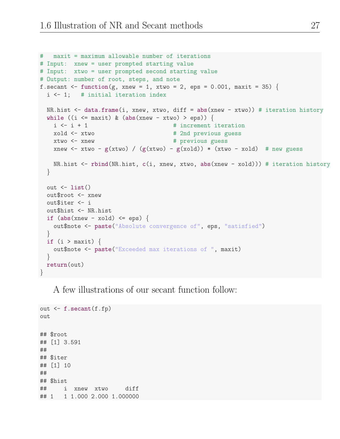```
# maxit = maximum allowable number of iterations
# Input: xnew = user prompted starting value
# Input: xtwo = user prompted second starting value
# Output: number of root, steps, and note
f.secant \le function(g, xnew = 1, xtwo = 2, eps = 0.001, maxit = 35) {
 i <- 1; # initial iteration index
 NR.hist <- data.frame(i, xnew, xtwo, diff = abs(xnew - xtwo)) # iteration history
 while ((i \leq maxit) \& (abs(xnew - xtwo) >eps))i \leq i + 1 # increment iteration
   xold \le xtwo \qquad # 2nd previous guess
   xtwo <- xnew # previous guess
   xnew \le xtwo - g(xtwo) / (g(xtwo) - g(xold)) * (xtwo - xold) # new guess
   NR.hist <- rbind(NR.hist, c(i, xnew, xtwo, abs(xnew - xold))) # iteration history
 }
 out \leftarrow list()
 out$root <- xnew
 out$iter <- i
 out$hist <- NR.hist
 if (abs(xnew - xold) \le eps) {
   out$note <- paste("Absolute convergence of", eps, "satisfied")
 }
 if (i > maxit) {
   out$note <- paste("Exceeded max iterations of ", maxit)
 }
 return(out)
}
```
A few illustrations of our secant function follow:

```
out <- f.secant(f.fp)
out
## $root
## [1] 3.591
##
## $iter
## [1] 10
##
## $hist
## i xnew xtwo diff
## 1 1 1.000 2.000 1.000000
```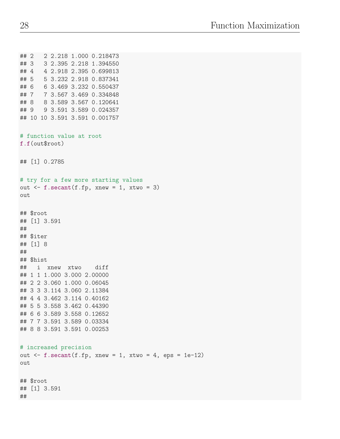```
## 2 2 2.218 1.000 0.218473
## 3 3 2.395 2.218 1.394550
## 4 4 2.918 2.395 0.699813
## 5 5 3.232 2.918 0.837341
## 6 6 3.469 3.232 0.550437
## 7 7 3.567 3.469 0.334848
## 8 8 3.589 3.567 0.120641
## 9 9 3.591 3.589 0.024357
## 10 10 3.591 3.591 0.001757
# function value at root
f.f(out$root)
## [1] 0.2785
# try for a few more starting values
out \leq f.secant(f.fp, xnew = 1, xtwo = 3)
out
## $root
## [1] 3.591
##
## $iter
## [1] 8
##
## $hist
## i xnew xtwo diff
## 1 1 1.000 3.000 2.00000
## 2 2 3.060 1.000 0.06045
## 3 3 3.114 3.060 2.11384
## 4 4 3.462 3.114 0.40162
## 5 5 3.558 3.462 0.44390
## 6 6 3.589 3.558 0.12652
## 7 7 3.591 3.589 0.03334
## 8 8 3.591 3.591 0.00253
# increased precision
out \leq f.secant(f.fp, xnew = 1, xtwo = 4, eps = 1e-12)
out
## $root
## [1] 3.591
##
```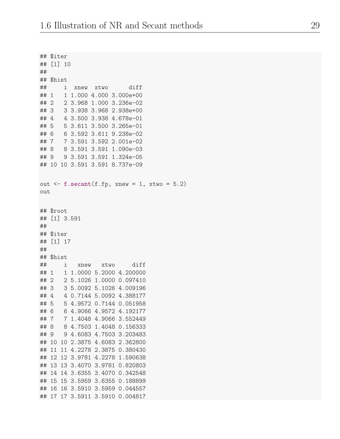```
## $iter
## [1] 10
##
## $hist
## i xnew xtwo diff
## 1 1 1.000 4.000 3.000e+00
## 2 2 3.968 1.000 3.236e-02
## 3 3 3.938 3.968 2.938e+00
## 4 4 3.500 3.938 4.678e-01
## 5 5 3.611 3.500 3.265e-01
## 6 6 3.592 3.611 9.238e-02
## 7 7 3.591 3.592 2.001e-02
## 8 8 3.591 3.591 1.090e-03
## 9 9 3.591 3.591 1.324e-05
## 10 10 3.591 3.591 8.737e-09
out \leq f.secant(f.fp, xnew = 1, xtwo = 5.2)
out
## $root
## [1] 3.591
##
## $iter
## [1] 17
##
## $hist
## i xnew xtwo diff
## 1 1 1.0000 5.2000 4.200000
## 2 2 5.1026 1.0000 0.097410
## 3 3 5.0092 5.1026 4.009196
## 4 4 0.7144 5.0092 4.388177
## 5 5 4.9572 0.7144 0.051958
## 6 6 4.9066 4.9572 4.192177
## 7 7 1.4048 4.9066 3.552449
## 8 8 4.7503 1.4048 0.156333
## 9 9 4.6083 4.7503 3.203483
## 10 10 2.3875 4.6083 2.362800
## 11 11 4.2278 2.3875 0.380430
## 12 12 3.9781 4.2278 1.590638
## 13 13 3.4070 3.9781 0.820803
## 14 14 3.6355 3.4070 0.342548
## 15 15 3.5959 3.6355 0.188899
## 16 16 3.5910 3.5959 0.044557
## 17 17 3.5911 3.5910 0.004817
```